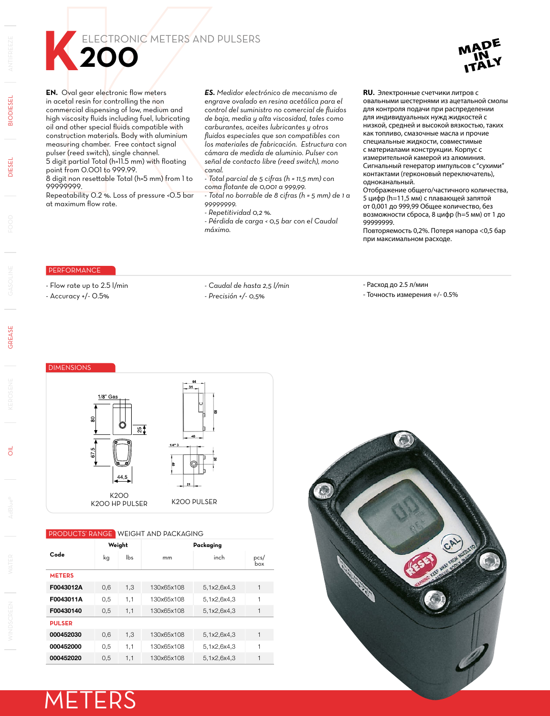# ELECTRONIC METERS AND PULSERS

ELECTRONIC METERS AND P<br> **KN.** Oval gear electronic flow meters<br>
in acetal resin for controlling the non<br>
n acetal resin for controlling the non<br>
sommercial dispensing of low, medium and<br>
controlling fuel, lubricating de b **EN.** Oval gear electronic flow meters in acetal resin for controlling the non commercial dispensing of low, medium and high viscosity fluids including fuel, lubricating oil and other special fluids compatible with construction materials. Body with aluminium measuring chamber. Free contact signal pulser (reed switch), single channel. 5 digit partial Total (h=11.5 mm) with floating point from 0.001 to 999.99. 8 digit <mark>non resettable Total (h=5 mm) f</mark>rom 1 to 99999999.

Repeatability 0.2 %. Loss of pressure <0.5 bar at maximum flow rate.

*ES. Medidor electrónico de mecanismo de engrave ovalado en resina acetálica para el control del suministro no comercial de fl uidos de baja, media y alta viscosidad, tales como carburantes, aceites lubricantes y otros fl uidos especiales que son compatibles con los materiales de fabricación. Estructura con cámara de medida de aluminio. Pulser con señal de contacto libre (reed switch), mono canal.*

*- Total parcial de 5 cifras (h = 11,5 mm) con coma fl otante de 0,001 a 999,99.* 

*- Total no borrable de 8 cifras (h = 5 mm) de 1 a 99999999.* 

*- Repetitividad 0,2 %.* 

*- Pérdida de carga < 0,5 bar con el Caudal máximo.*

**RU.** Электронные счетчики литров с овальными шестернями из ацетальной смолы для контроля подачи при распределении для индивидуальных нужд жидкостей с низкой, средней и высокой вязкостью, таких как топливо, смазочные масла и прочие специальные жидкости, совместимые с материалами конструкции. Корпус с измерительной камерой из алюминия. Сигнальный генератор импульсов с "сухими" контактами (герконовый переключатель), одноканальный.

Отображение общего/частичного количества, 5 цифр (h=11,5 мм) с плавающей запятой от 0,001 до 999,99 Общее количество, без возможности сброса, 8 цифр (h=5 мм) от 1 до 99999999.

Повторяемость 0,2%. Потеря напора <0,5 бар при максимальном расходе.

### PERFORMANCE

- Flow rate up to 2.5 l/min

- Accuracy +/- 0.5%



*- Precisión +/- 0,5%*

- Расход до 2.5 л/мин

- Точность измерения +/- 0.5%

# **DIMENSIONS**



## PRODUCTS' RANGE WEIGHT AND PACKAGING

METERS

|               |     | Weight | Packaging  |             |             |  |  |  |  |
|---------------|-----|--------|------------|-------------|-------------|--|--|--|--|
| Code          | kg  | lbs    | mm         | inch        | pcs/<br>box |  |  |  |  |
| <b>METERS</b> |     |        |            |             |             |  |  |  |  |
| F0043012A     | 0.6 | 1,3    | 130x65x108 | 5,1x2,6x4,3 | 1           |  |  |  |  |
| F0043011A     | 0,5 | 1,1    | 130x65x108 | 5,1x2,6x4,3 | 1           |  |  |  |  |
| F00430140     | 0,5 | 1,1    | 130x65x108 | 5,1x2,6x4,3 | 1           |  |  |  |  |
| <b>PULSER</b> |     |        |            |             |             |  |  |  |  |
| 000452030     | 0.6 | 1,3    | 130x65x108 | 5,1x2,6x4,3 | 1           |  |  |  |  |
| 000452000     | 0,5 | 1,1    | 130x65x108 | 5,1x2,6x4,3 | 1           |  |  |  |  |
| 000452020     | 0,5 | 1,1    | 130x65x108 | 5,1x2,6x4,3 | 1           |  |  |  |  |



DIESEL

 $\overline{\overline{6}}$